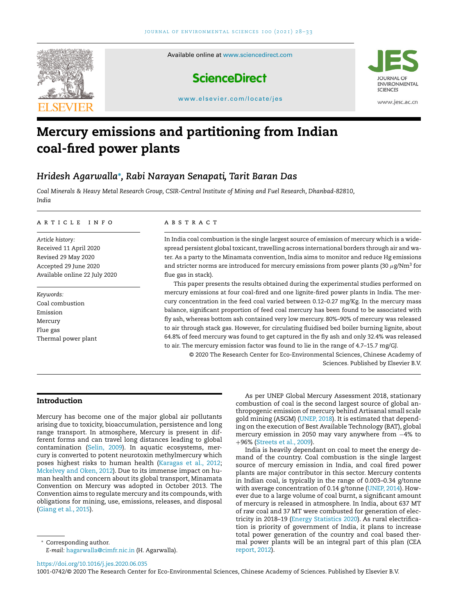

# **Mercury emissions and partitioning from Indian coal-fired power plants**

# *Hridesh Agarwalla***<sup>∗</sup>** *, Rabi Narayan Senapati, Tarit Baran Das*

*Coal Minerals & Heavy Metal Research Group, CSIR-Central Institute of Mining and Fuel Research, Dhanbad-82810, India*

#### ARTICLE INFO

*Article history:* Received 11 April 2020 Revised 29 May 2020 Accepted 29 June 2020 Available online 22 July 2020

*Keywords:* Coal combustion Emission Mercury Flue gas Thermal power plant

#### A B S T R A C T

In India coal combustion is the single largest source of emission of mercury which is a widespread persistent global toxicant, travelling across international borders through air and water. As a party to the Minamata convention, India aims to monitor and reduce Hg emissions and stricter norms are introduced for mercury emissions from power plants (30  $\mu$ g/Nm<sup>3</sup> for flue gas in stack).

This paper presents the results obtained during the experimental studies performed on mercury emissions at four coal-fired and one lignite-fired power plants in India. The mercury concentration in the feed coal varied between 0.12–0.27 mg/Kg. In the mercury mass balance, significant proportion of feed coal mercury has been found to be associated with fly ash, whereas bottom ash contained very low mercury. 80%–90% of mercury was released to air through stack gas. However, for circulating fluidised bed boiler burning lignite, about 64.8% of feed mercury was found to get captured in the fly ash and only 32.4% was released to air. The mercury emission factor was found to lie in the range of 4.7–15.7 mg/GJ.

© 2020 The Research Center for Eco-Environmental Sciences, Chinese Academy of Sciences. Published by Elsevier B.V.

# **Introduction**

Mercury has become one of the major global air pollutants arising due to toxicity, bioaccumulation, persistence and long range transport. In atmosphere, Mercury is present in different forms and can travel long distances leading to global contamination [\(Selin,](#page-5-0) 2009). In aquatic ecosystems, mercury is converted to potent neurotoxin methylmercury which poses highest risks to human health [\(Karagas](#page-5-0) et al., 2012; [Mckelvey](#page-5-0) and Oken, 2012). Due to its immense impact on human health and concern about its global transport, Minamata Convention on Mercury was adopted in October 2013. The Convention aims to regulate mercury and its compounds, with obligations for mining, use, emissions, releases, and disposal [\(Giang](#page-5-0) et al., 2015).

<sup>∗</sup> Corresponding author.

*E-mail:* [hagarwalla@cimfr.nic.in](mailto:hagarwalla@cimfr.nic.in) (H. Agarwalla).

As per UNEP Global Mercury Assessment 2018, stationary combustion of coal is the second largest source of global anthropogenic emission of mercury behind Artisanal small scale gold mining (ASGM) [\(UNEP,](#page-5-0) 2018). It is estimated that depending on the execution of Best Available Technology (BAT), global mercury emission in 2050 may vary anywhere from −4% to +96% [\(Streets](#page-5-0) et al., 2009).

India is heavily dependant on coal to meet the energy demand of the country. Coal combustion is the single largest source of mercury emission in India, and coal fired power plants are major contributor in this sector. Mercury contents in Indian coal, is typically in the range of 0.003–0.34 g/tonne with average concentration of 0.14 g/tonne [\(UNEP,](#page-5-0) 2014). However due to a large volume of coal burnt, a significant amount of mercury is released in atmosphere. In India, about 637 MT of raw coal and 37 MT were combusted for generation of electricity in 2018–19 (Energy [Statistics](#page-5-0) 2020). As rural electrification is priority of government of India, it plans to increase total power generation of the country and coal based thermal power plants will be an integral part of this plan (CEA [report,](#page-5-0) 2012).

<https://doi.org/10.1016/j.jes.2020.06.035>

1001-0742/© 2020 The Research Center for Eco-Environmental Sciences, Chinese Academy of Sciences. Published by Elsevier B.V.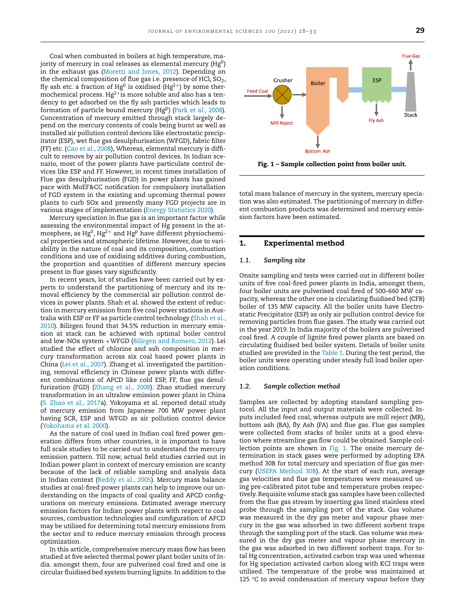Coal when combusted in boilers at high temperature, majority of mercury in coal releases as elemental mercury  $(Hg^0)$ in the exhaust gas [\(Moretti](#page-5-0) and Jones, 2012). Depending on the chemical composition of flue gas i.e. presence of HCl,  $SO<sub>2</sub>$ , fly ash etc. a fraction of Hg<sup>0</sup> is oxidised (Hg<sup>2+</sup>) by some thermochemical process.  $Hg^{2+}$ is more soluble and also has a tendency to get adsorbed on the fly ash particles which leads to formation of particle bound mercury (HgP) (Park et al., [2008\)](#page-5-0). Concentration of mercury emitted through stack largely depend on the mercury contents of coals being burnt as well as installed air pollution control devices like electrostatic precipitator (ESP), wet flue gas desulphurisation (WFGD), fabric filter (FF) etc. (Cao et al., [2008\)](#page-5-0), Whereas, elemental mercury is difficult to remove by air pollution control devices. In Indian scenario, most of the power plants have particulate control devices like ESP and FF. However, in recent times installation of Flue gas desulphurisation (FGD) in power plants has gained pace with MoEF&CC notification for compulsory installation of FGD system in the existing and upcoming thermal power plants to curb SOx and presently many FGD projects are in various stages of implementation (Energy [Statistics](#page-5-0) 2020).

Mercury speciation in flue gas is an important factor while assessing the environmental impact of Hg present in the atmosphere, as  $Hg^{0}$ ,  $Hg^{2+}$  and  $Hg^{p}$  have different physiochemical properties and atmospheric lifetime. However, due to variability in the nature of coal and its composition, combustion conditions and use of oxidising additives during combustion, the proportion and quantities of different mercury species present in flue gases vary significantly.

In recent years, lot of studies have been carried out by experts to understand the partitioning of mercury and its removal efficiency by the commercial air pollution control devices in power plants. Shah et al. showed the extent of reduction in mercury emission from five coal power stations in Australia with ESP or FF as particle control [technology](#page-5-0) (Shah et al., 2010). Bilirgen found that 34.5% reduction in mercury emission at stack can be achieved with optimal boiler control and low-NOx system +WFGD (Bilirgen and [Romero,](#page-5-0) 2012). Lei studied the effect of chlorine and ash composition in mercury transformation across six coal based power plants in China (Lei et al., [2007\)](#page-5-0). Zhang et al. investigated the partitioning, removal efficiency in Chinese power plants with different combinations of APCD like cold ESP, FF, flue gas desulfurization (FGD) [\(Zhang](#page-5-0) et al., 2008). Zhao studied mercury transformation in an ultralow emission power plant in China (S. [Zhao](#page-5-0) et al., 2017a). Yokoyama et al. reported detail study of mercury emission from Japanese 700 MW power plant having SCR, ESP and WFGD as air pollution control device [\(Yokohama](#page-5-0) et al. 2000).

As the nature of coal used in Indian coal fired power generation differs from other countries, it is important to have full scale studies to be carried out to understand the mercury emission pattern. Till now, actual field studies carried out in Indian power plant in context of mercury emission are scanty because of the lack of reliable sampling and analysis data in Indian context [\(Reddy](#page-5-0) et al., 2005). Mercury mass balance studies at coal-fired power plants can help to improve our understanding on the impacts of coal quality and APCD configurations on mercury emissions. Estimated average mercury emission factors for Indian power plants with respect to coal sources, combustion technologies and configuration of APCD may be utilised for determining total mercury emissions from the sector and to reduce mercury emission through process optimization.

In this article, comprehensive mercury mass flow has been studied at five selected thermal power plant boiler units of India. amongst them, four are pulverised coal fired and one is circular fluidised bed system burning lignite. In addition to the



total mass balance of mercury in the system, mercury speciation was also estimated. The partitioning of mercury in different combustion products was determined and mercury emission factors have been estimated.

# **1. Experimental method**

# *1.1. Sampling site*

Onsite sampling and tests were carried out in different boiler units of five coal-fired power plants in India, amongst them, four boiler units are pulverised coal fired of 500–660 MW capacity, whereas the other one is circulating fluidised bed (CFB) boiler of 135 MW capacity. All the boiler units have Electrostatic Precipitator (ESP) as only air pollution control device for removing particles from flue gases. The study was carried out in the year 2019. In India majority of the boilers are pulverised coal fired. A couple of lignite fired power plants are based on circulating fluidised bed boiler system. Details of boiler units studied are provided in the [Table](#page-2-0) 1. During the test period, the boiler units were operating under steady full load boiler operation conditions.

#### *1.2. Sample collection method*

Samples are collected by adopting standard sampling protocol. All the input and output materials were collected. Inputs included feed coal, whereas outputs are mill reject (MR), bottom ash (BA), fly Ash (FA) and flue gas. Flue gas samples were collected from stacks of boiler units at a good elevation where streamline gas flow could be obtained. Sample collection points are shown in Fig. 1. The onsite mercury determination in stack gases were performed by adopting EPA method 30B for total mercury and speciation of flue gas mercury (USEPA [Method](#page-5-0) 30B). At the start of each run, average gas velocities and flue gas temperatures were measured using pre-calibrated pitot tube and temperature probes respectively. Requisite volume stack gas samples have been collected from the flue gas stream by inserting gas lined stainless steel probe through the sampling port of the stack. Gas volume was measured in the dry gas meter and vapour phase mercury in the gas was adsorbed in two different sorbent traps through the sampling port of the stack. Gas volume was measured in the dry gas meter and vapour phase mercury in the gas was adsorbed in two different sorbent traps. For total Hg concentration, activated carbon trap was used whereas for Hg speciation activated carbon along with KCl traps were utilised. The temperature of the probe was maintained at 125 °C to avoid condensation of mercury vapour before they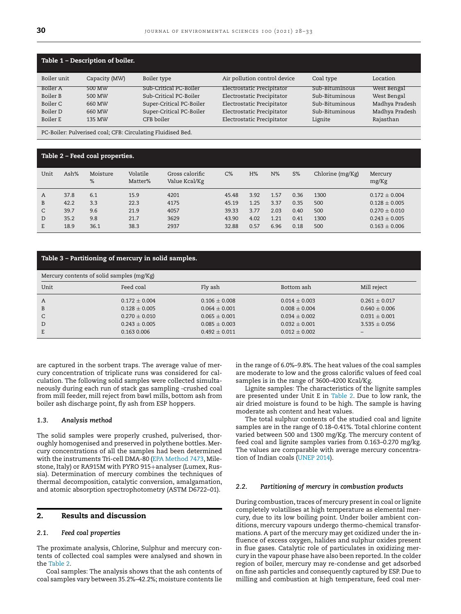<span id="page-2-0"></span>

| Table 1 – Description of boiler. |               |                          |                              |                |                |  |  |  |
|----------------------------------|---------------|--------------------------|------------------------------|----------------|----------------|--|--|--|
| Boiler unit                      | Capacity (MW) | Boiler type              | Air pollution control device | Coal type      | Location       |  |  |  |
| <b>Boiler A</b>                  | 500 MW        | Sub-Critical PC-Boiler   | Electrostatic Precipitator   | Sub-Bituminous | West Bengal    |  |  |  |
| Boiler B                         | 500 MW        | Sub-Critical PC-Boiler   | Electrostatic Precipitator   | Sub-Bituminous | West Bengal    |  |  |  |
| Boiler C                         | 660 MW        | Super-Critical PC-Boiler | Electrostatic Precipitator   | Sub-Bituminous | Madhya Pradesh |  |  |  |
| Boiler D                         | 660 MW        | Super-Critical PC-Boiler | Electrostatic Precipitator   | Sub-Bituminous | Madhya Pradesh |  |  |  |
| Boiler E                         | 135 MW        | CFB boiler               | Electrostatic Precipitator   | Lignite        | Rajasthan      |  |  |  |

PC-Boiler: Pulverised coal; CFB: Circulating Fluidised Bed.

# **Table 2 – Feed coal properties.**

| Unit | Ash% | Moisture<br>% | Volatile<br>Matter% | Gross calorific<br>Value Kcal/Kg | $C\%$ | H%   | $N\%$ | $S\%$ | Chlorine (mg/Kg) | Mercury<br>mg/Kg  |
|------|------|---------------|---------------------|----------------------------------|-------|------|-------|-------|------------------|-------------------|
| A    | 37.8 | 6.1           | 15.9                | 4201                             | 45.48 | 3.92 | 1.57  | 0.36  | 1300             | $0.172 + 0.004$   |
| B    | 42.2 | 3.3           | 22.3                | 4175                             | 45.19 | 1.25 | 3.37  | 0.35  | 500              | $0.128 \pm 0.005$ |
| C    | 39.7 | 9.6           | 21.9                | 4057                             | 39.33 | 3.77 | 2.03  | 0.40  | 500              | $0.270 + 0.010$   |
| D    | 35.2 | 9.8           | 21.7                | 3629                             | 43.90 | 4.02 | 1.21  | 0.41  | 1300             | $0.243 + 0.005$   |
| E.   | 18.9 | 36.1          | 38.3                | 2937                             | 32.88 | 0.57 | 6.96  | 0.18  | 500              | $0.163 + 0.006$   |
|      |      |               |                     |                                  |       |      |       |       |                  |                   |

# **Table 3 – Partitioning of mercury in solid samples.**

| Mercury contents of solid samples (mg/Kg) |                                    |                                      |                                    |                                      |  |  |
|-------------------------------------------|------------------------------------|--------------------------------------|------------------------------------|--------------------------------------|--|--|
| Unit                                      | Feed coal                          | Fly ash                              | Bottom ash                         | Mill reject                          |  |  |
| A                                         | $0.172 \pm 0.004$                  | $0.106 \pm 0.008$                    | $0.014 + 0.003$                    | $0.261 \pm 0.017$                    |  |  |
| B<br>C                                    | $0.128 + 0.005$<br>$0.270 + 0.010$ | $0.064 + 0.001$<br>$0.065 + 0.001$   | $0.008 + 0.004$<br>$0.034 + 0.002$ | $0.640 + 0.006$<br>$0.031 + 0.001$   |  |  |
| D<br>E                                    | $0.243 + 0.005$<br>0.163 0.006     | $0.085 \pm 0.003$<br>$0.492 + 0.011$ | $0.032 + 0.001$<br>$0.012 + 0.002$ | $3.535 + 0.056$<br>$\qquad \qquad -$ |  |  |

are captured in the sorbent traps. The average value of mercury concentration of triplicate runs was considered for calculation. The following solid samples were collected simultaneously during each run of stack gas sampling -crushed coal from mill feeder, mill reject from bawl mills, bottom ash from boiler ash discharge point, fly ash from ESP hoppers.

### *1.3. Analysis method*

The solid samples were properly crushed, pulverised, thoroughly homogenised and preserved in polythene bottles. Mercury concentrations of all the samples had been determined with the instruments Tri-cell DMA-80 (EPA [Method](#page-5-0) 7473, Milestone, Italy) or RA915M with PYRO 915+analyser (Lumex, Russia). Determination of mercury combines the techniques of thermal decomposition, catalytic conversion, amalgamation, and atomic absorption spectrophotometry (ASTM D6722–01).

# **2. Results and discussion**

## *2.1. Feed coal properties*

The proximate analysis, Chlorine, Sulphur and mercury contents of collected coal samples were analysed and shown in the Table 2.

Coal samples: The analysis shows that the ash contents of coal samples vary between 35.2%–42.2%; moisture contents lie in the range of 6.0%–9.8%. The heat values of the coal samples are moderate to low and the gross calorific values of feed coal samples is in the range of 3600–4200 Kcal/Kg.

Lignite samples: The characteristics of the lignite samples are presented under Unit E in Table 2. Due to low rank, the air dried moisture is found to be high. The sample is having moderate ash content and heat values.

The total sulphur contents of the studied coal and lignite samples are in the range of 0.18–0.41%. Total chlorine content varied between 500 and 1300 mg/Kg. The mercury content of feed coal and lignite samples varies from 0.163–0.270 mg/kg. The values are comparable with average mercury concentration of Indian coals [\(UNEP](#page-5-0) 2014).

#### *2.2. Partitioning of mercury in combustion products*

During combustion, traces of mercury present in coal or lignite completely volatilises at high temperature as elemental mercury, due to its low boiling point. Under boiler ambient conditions, mercury vapours undergo thermo-chemical transformations. A part of the mercury may get oxidized under the influence of excess oxygen, halides and sulphur oxides present in flue gases. Catalytic role of particulates in oxidizing mercury in the vapour phase have also been reported.In the colder region of boiler, mercury may re-condense and get adsorbed on fine ash particles and consequently captured by ESP. Due to milling and combustion at high temperature, feed coal mer-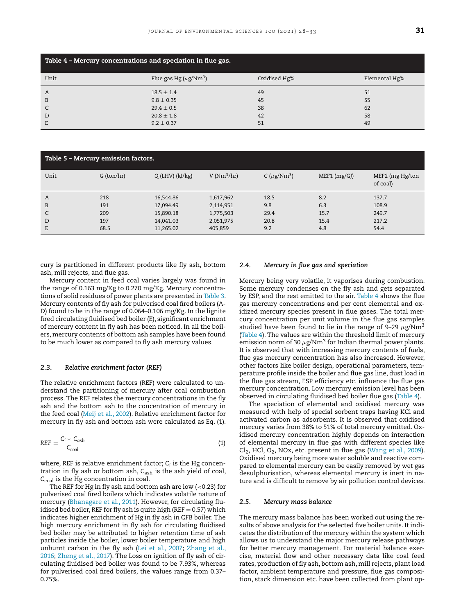<span id="page-3-0"></span>

| Table 4 – Mercury concentrations and speciation in flue gas. |                                         |              |               |  |  |  |
|--------------------------------------------------------------|-----------------------------------------|--------------|---------------|--|--|--|
| Unit                                                         | Flue gas Hg ( $\mu$ g/Nm <sup>3</sup> ) | Oxidised Hg% | Elemental Hg% |  |  |  |
| A                                                            | $18.5 \pm 1.4$                          | 49           | 51            |  |  |  |
| B                                                            | $9.8 \pm 0.35$                          | 45           | 55            |  |  |  |
| C                                                            | $29.4 \pm 0.5$                          | 38           | 62            |  |  |  |
| D                                                            | $20.8 \pm 1.8$                          | 42           | 58            |  |  |  |
| E                                                            | $9.2 \pm 0.37$                          | 51           | 49            |  |  |  |

| Table 5 - Mercury emission factors. |            |                     |              |                               |              |                             |  |
|-------------------------------------|------------|---------------------|--------------|-------------------------------|--------------|-----------------------------|--|
| Unit                                | G (ton/hr) | $Q$ (LHV) $(kJ/kg)$ | $V(Nm^3/hr)$ | C ( $\mu$ g/Nm <sup>3</sup> ) | MEF1 (mg/GJ) | MEF2 (mg Hg/ton<br>of coal) |  |
| A                                   | 218        | 16,544.86           | 1,617,962    | 18.5                          | 8.2          | 137.7                       |  |
| B                                   | 191        | 17,094.49           | 2,114,951    | 9.8                           | 6.3          | 108.9                       |  |
| C                                   | 209        | 15,890.18           | 1,775,503    | 29.4                          | 15.7         | 249.7                       |  |
| D                                   | 197        | 14,041.03           | 2,051,975    | 20.8                          | 15.4         | 217.2                       |  |
| E                                   | 68.5       | 11,265.02           | 405,859      | 9.2                           | 4.8          | 54.4                        |  |

cury is partitioned in different products like fly ash, bottom ash, mill rejects, and flue gas.

Mercury content in feed coal varies largely was found in the range of 0.163 mg/Kg to 0.270 mg/Kg. Mercury concentrations of solid residues of power plants are presented in [Table](#page-2-0) 3. Mercury contents of fly ash for pulverised coal fired boilers (A-D) found to be in the range of 0.064–0.106 mg/Kg. In the lignite fired circulating fluidised bed boiler (E), significant enrichment of mercury content in fly ash has been noticed. In all the boilers, mercury contents of bottom ash samples have been found to be much lower as compared to fly ash mercury values.

## *2.3. Relative enrichment factor (REF)*

The relative enrichment factors (REF) were calculated to understand the partitioning of mercury after coal combustion process. The REF relates the mercury concentrations in the fly ash and the bottom ash to the concentration of mercury in the feed coal (Meij et al., [2002\)](#page-5-0). Relative enrichment factor for mercury in fly ash and bottom ash were calculated as Eq. (1).

$$
REF = \frac{C_i \cdot C_{ash}}{C_{coal}} \tag{1}
$$

where, REF is relative enrichment factor; C<sub>i</sub> is the Hg concentration in fly ash or bottom ash, *C*ash is the ash yield of coal, *C*coal is the Hg concentration in coal.

The REF for Hg in fly ash and bottom ash are low  $(<$  0.23) for pulverised coal fired boilers which indicates volatile nature of mercury [\(Bhanagare](#page-5-0) et al., 2011). However, for circulating fluidised bed boiler, REF for fly ash is quite high (REF  $= 0.57$ ) which indicates higher enrichment of Hg in fly ash in CFB boiler. The high mercury enrichment in fly ash for circulating fluidised bed boiler may be attributed to higher retention time of ash particles inside the boiler, lower boiler temperature and high [unburnt](#page-5-0) carbon in the fly ash (Lei et al., [2007;](#page-5-0) Zhang et al., 2016; [Zheng](#page-5-0) et al., 2017). The Loss on ignition of fly ash of circulating fluidised bed boiler was found to be 7.93%, whereas for pulverised coal fired boilers, the values range from 0.37– 0.75%.

# *2.4. Mercury in flue gas and speciation*

Mercury being very volatile, it vaporises during combustion. Some mercury condenses on the fly ash and gets separated by ESP, and the rest emitted to the air. Table 4 shows the flue gas mercury concentrations and per cent elemental and oxidized mercury species present in flue gases. The total mercury concentration per unit volume in the flue gas samples studied have been found to lie in the range of 9–29  $\mu$ g/Nm<sup>3</sup> (Table 4). The values are within the threshold limit of mercury emission norm of 30  $\mu$ g/Nm<sup>3</sup> for Indian thermal power plants. It is observed that with increasing mercury contents of fuels, flue gas mercury concentration has also increased. However, other factors like boiler design, operational parameters, temperature profile inside the boiler and flue gas line, dust load in the flue gas stream, ESP efficiency etc. influence the flue gas mercury concentration. Low mercury emission level has been observed in circulating fluidised bed boiler flue gas (Table 4).

The speciation of elemental and oxidised mercury was measured with help of special sorbent traps having KCl and activated carbon as adsorbents. It is observed that oxidised mercury varies from 38% to 51% of total mercury emitted. Oxidised mercury concentration highly depends on interaction of elemental mercury in flue gas with different species like  $Cl<sub>2</sub>$ , HCl, O<sub>2</sub>, NOx, etc. present in flue gas [\(Wang](#page-5-0) et al., 2009). Oxidised mercury being more water soluble and reactive compared to elemental mercury can be easily removed by wet gas desulphurisation, whereas elemental mercury is inert in nature and is difficult to remove by air pollution control devices.

### *2.5. Mercury mass balance*

The mercury mass balance has been worked out using the results of above analysis for the selected five boiler units. It indicates the distribution of the mercury within the system which allows us to understand the major mercury release pathways for better mercury management. For material balance exercise, material flow and other necessary data like coal feed rates, production of fly ash, bottom ash, mill rejects, plant load factor, ambient temperature and pressure, flue gas composition, stack dimension etc. have been collected from plant op-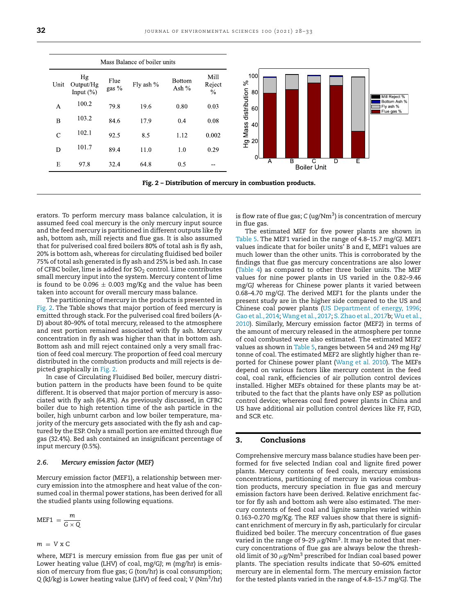

erators. To perform mercury mass balance calculation, it is assumed feed coal mercury is the only mercury input source and the feed mercury is partitioned in different outputs like fly ash, bottom ash, mill rejects and flue gas. It is also assumed that for pulverised coal fired boilers 80% of total ash is fly ash, 20% is bottom ash, whereas for circulating fluidised bed boiler 75% of total ash generated is fly ash and 25% is bed ash. In case of CFBC boiler, lime is added for  $SO_2$  control. Lime contributes small mercury input into the system. Mercury content of lime is found to be 0.096  $\pm$  0.003 mg/Kg and the value has been taken into account for overall mercury mass balance.

The partitioning of mercury in the products is presented in Fig. 2. The Table shows that major portion of feed mercury is emitted through stack. For the pulverised coal fired boilers (A-D) about 80–90% of total mercury, released to the atmosphere and rest portion remained associated with fly ash. Mercury concentration in fly ash was higher than that in bottom ash. Bottom ash and mill reject contained only a very small fraction of feed coal mercury. The proportion of feed coal mercury distributed in the combustion products and mill rejects is depicted graphically in Fig. 2.

In case of Circulating Fluidised Bed boiler, mercury distribution pattern in the products have been found to be quite different. It is observed that major portion of mercury is associated with fly ash (64.8%). As previously discussed, in CFBC boiler due to high retention time of the ash particle in the boiler, high unburnt carbon and low boiler temperature, majority of the mercury gets associated with the fly ash and captured by the ESP. Only a small portion are emitted through flue gas (32.4%). Bed ash contained an insignificant percentage of input mercury (0.5%).

#### *2.6. Mercury emission factor (MEF)*

Mercury emission factor (MEF1), a relationship between mercury emission into the atmosphere and heat value of the consumed coal in thermal power stations, has been derived for all the studied plants using following equations.

$$
MEF1 = \frac{m}{G \times Q}
$$

$$
m = V \times C
$$

where, MEF1 is mercury emission from flue gas per unit of Lower heating value (LHV) of coal, mg/GJ; *m* (mg/hr) is emission of mercury from flue gas; *G* (ton/hr) is coal consumption; *Q* (kJ/kg) is Lower heating value (LHV) of feed coal; *V* (Nm3/hr) is flow rate of flue gas;  $C \left( \frac{ug}{Nm^3} \right)$  is concentration of mercury in flue gas.

The estimated MEF for five power plants are shown in [Table](#page-3-0) 5. The MEF1 varied in the range of 4.8–15.7 mg/GJ. MEF1 values indicate that for boiler units' B and E, MEF1 values are much lower than the other units. This is corroborated by the findings that flue gas mercury concentrations are also lower [\(Table](#page-3-0) 4) as compared to other three boiler units. The MEF values for nine power plants in US varied in the 0.82–9.46 mg/GJ whereas for Chinese power plants it varied between 0.68–4.70 mg/GJ. The derived MEF1 for the plants under the present study are in the higher side compared to the US and Chinese coal power plants (US [Department](#page-5-0) of energy, 1996; Gao et al., [2014;](#page-5-0) [Wang](#page-5-0) et al., 2017; [S.Zhao](#page-5-0) et al., 2017b; Wu et al., 2010). [Similarly,](#page-5-0) Mercury emission factor (MEF2) in terms of the amount of mercury released in the atmosphere per tonne of coal combusted were also estimated. The estimated MEF2 values as shown in [Table](#page-3-0) 5, ranges between 54 and 249 mg Hg/ tonne of coal. The estimated MEF2 are slightly higher than reported for Chinese power plant [\(Wang](#page-5-0) et al. 2010). The MEFs depend on various factors like mercury content in the feed coal, coal rank, efficiencies of air pollution control devices installed. Higher MEFs obtained for these plants may be attributed to the fact that the plants have only ESP as pollution control device; whereas coal fired power plants in China and US have additional air pollution control devices like FF, FGD, and SCR etc.

# **3. Conclusions**

Comprehensive mercury mass balance studies have been performed for five selected Indian coal and lignite fired power plants. Mercury contents of feed coals, mercury emissions concentrations, partitioning of mercury in various combustion products, mercury speciation in flue gas and mercury emission factors have been derived. Relative enrichment factor for fly ash and bottom ash were also estimated. The mercury contents of feed coal and lignite samples varied within 0.163–0.270 mg/Kg. The REF values show that there is significant enrichment of mercury in fly ash, particularly for circular fluidized bed boiler. The mercury concentration of flue gases varied in the range of 9-29  $\mu$ g/Nm<sup>3</sup>. It may be noted that mercury concentrations of flue gas are always below the threshold limit of 30  $\mu$ g/Nm<sup>3</sup> prescribed for Indian coal based power plants. The speciation results indicate that 50–60% emitted mercury are in elemental form. The mercury emission factor for the tested plants varied in the range of 4.8–15.7 mg/GJ. The